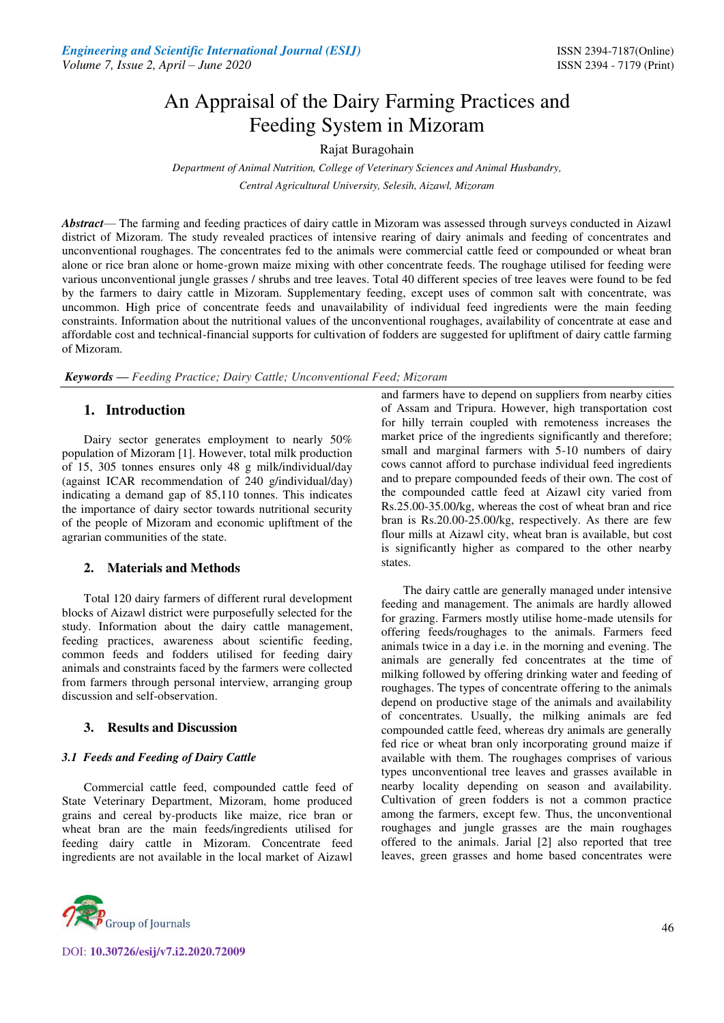# An Appraisal of the Dairy Farming Practices and Feeding System in Mizoram

## Rajat Buragohain

*Department of Animal Nutrition, College of Veterinary Sciences and Animal Husbandry, Central Agricultural University, Selesih, Aizawl, Mizoram* 

*Abstract*— The farming and feeding practices of dairy cattle in Mizoram was assessed through surveys conducted in Aizawl district of Mizoram. The study revealed practices of intensive rearing of dairy animals and feeding of concentrates and unconventional roughages. The concentrates fed to the animals were commercial cattle feed or compounded or wheat bran alone or rice bran alone or home-grown maize mixing with other concentrate feeds. The roughage utilised for feeding were various unconventional jungle grasses / shrubs and tree leaves. Total 40 different species of tree leaves were found to be fed by the farmers to dairy cattle in Mizoram. Supplementary feeding, except uses of common salt with concentrate, was uncommon. High price of concentrate feeds and unavailability of individual feed ingredients were the main feeding constraints. Information about the nutritional values of the unconventional roughages, availability of concentrate at ease and affordable cost and technical-financial supports for cultivation of fodders are suggested for upliftment of dairy cattle farming of Mizoram.

*Keywords* **—** *Feeding Practice; Dairy Cattle; Unconventional Feed; Mizoram*

## **1. Introduction**

Dairy sector generates employment to nearly 50% population of Mizoram [1]. However, total milk production of 15, 305 tonnes ensures only 48 g milk/individual/day (against ICAR recommendation of 240 g/individual/day) indicating a demand gap of 85,110 tonnes. This indicates the importance of dairy sector towards nutritional security of the people of Mizoram and economic upliftment of the agrarian communities of the state.

#### **2. Materials and Methods**

Total 120 dairy farmers of different rural development blocks of Aizawl district were purposefully selected for the study. Information about the dairy cattle management, feeding practices, awareness about scientific feeding, common feeds and fodders utilised for feeding dairy animals and constraints faced by the farmers were collected from farmers through personal interview, arranging group discussion and self-observation.

## **3. Results and Discussion**

#### *3.1 Feeds and Feeding of Dairy Cattle*

Commercial cattle feed, compounded cattle feed of State Veterinary Department, Mizoram, home produced grains and cereal by-products like maize, rice bran or wheat bran are the main feeds/ingredients utilised for feeding dairy cattle in Mizoram. Concentrate feed ingredients are not available in the local market of Aizawl



DOI: **10.30726/esij/v7.i2.2020.72009**

and farmers have to depend on suppliers from nearby cities of Assam and Tripura. However, high transportation cost for hilly terrain coupled with remoteness increases the market price of the ingredients significantly and therefore; small and marginal farmers with 5-10 numbers of dairy cows cannot afford to purchase individual feed ingredients and to prepare compounded feeds of their own. The cost of the compounded cattle feed at Aizawl city varied from Rs.25.00-35.00/kg, whereas the cost of wheat bran and rice bran is Rs.20.00-25.00/kg, respectively. As there are few flour mills at Aizawl city, wheat bran is available, but cost is significantly higher as compared to the other nearby states.

The dairy cattle are generally managed under intensive feeding and management. The animals are hardly allowed for grazing. Farmers mostly utilise home-made utensils for offering feeds/roughages to the animals. Farmers feed animals twice in a day i.e. in the morning and evening. The animals are generally fed concentrates at the time of milking followed by offering drinking water and feeding of roughages. The types of concentrate offering to the animals depend on productive stage of the animals and availability of concentrates. Usually, the milking animals are fed compounded cattle feed, whereas dry animals are generally fed rice or wheat bran only incorporating ground maize if available with them. The roughages comprises of various types unconventional tree leaves and grasses available in nearby locality depending on season and availability. Cultivation of green fodders is not a common practice among the farmers, except few. Thus, the unconventional roughages and jungle grasses are the main roughages offered to the animals. Jarial [2] also reported that tree leaves, green grasses and home based concentrates were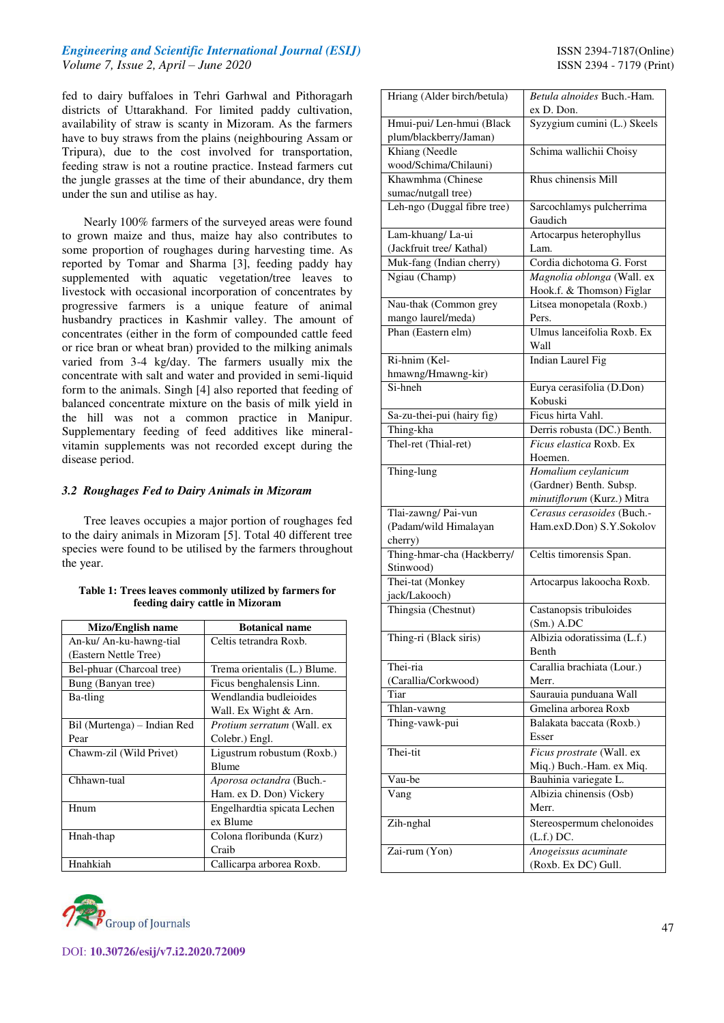### *Engineering and Scientific International Journal (ESIJ)* **ISSN 2394-7187(Online)** *Volume 7, Issue 2, April – June 2020* ISSN 2394 - 7179 (Print)

fed to dairy buffaloes in Tehri Garhwal and Pithoragarh districts of Uttarakhand. For limited paddy cultivation, availability of straw is scanty in Mizoram. As the farmers have to buy straws from the plains (neighbouring Assam or Tripura), due to the cost involved for transportation, feeding straw is not a routine practice. Instead farmers cut the jungle grasses at the time of their abundance, dry them under the sun and utilise as hay.

Nearly 100% farmers of the surveyed areas were found to grown maize and thus, maize hay also contributes to some proportion of roughages during harvesting time. As reported by Tomar and Sharma [3], feeding paddy hay supplemented with aquatic vegetation/tree leaves to livestock with occasional incorporation of concentrates by progressive farmers is a unique feature of animal husbandry practices in Kashmir valley. The amount of concentrates (either in the form of compounded cattle feed or rice bran or wheat bran) provided to the milking animals varied from 3-4 kg/day. The farmers usually mix the concentrate with salt and water and provided in semi-liquid form to the animals. Singh [4] also reported that feeding of balanced concentrate mixture on the basis of milk yield in the hill was not a common practice in Manipur. Supplementary feeding of feed additives like mineralvitamin supplements was not recorded except during the disease period.

#### *3.2 Roughages Fed to Dairy Animals in Mizoram*

Tree leaves occupies a major portion of roughages fed to the dairy animals in Mizoram [5]. Total 40 different tree species were found to be utilised by the farmers throughout the year.

| Table 1: Trees leaves commonly utilized by farmers for |
|--------------------------------------------------------|
| feeding dairy cattle in Mizoram                        |

| Mizo/English name           | <b>Botanical name</b>        |
|-----------------------------|------------------------------|
| An-ku/ An-ku-hawng-tial     | Celtis tetrandra Roxb.       |
| (Eastern Nettle Tree)       |                              |
| Bel-phuar (Charcoal tree)   | Trema orientalis (L.) Blume. |
| Bung (Banyan tree)          | Ficus benghalensis Linn.     |
| Ba-tling                    | Wendlandia budleioides       |
|                             | Wall. Ex Wight & Arn.        |
| Bil (Murtenga) – Indian Red | Protium serratum (Wall. ex   |
| Pear                        | Colebr.) Engl.               |
| Chawm-zil (Wild Privet)     | Ligustrum robustum (Roxb.)   |
|                             | <b>Blume</b>                 |
| Chhawn-tual                 | Aporosa octandra (Buch.-     |
|                             | Ham. ex D. Don) Vickery      |
| Hnum                        | Engelhardtia spicata Lechen  |
|                             | ex Blume                     |
| Hnah-thap                   | Colona floribunda (Kurz)     |
|                             | Craib                        |
| Hnahkiah                    | Callicarpa arborea Roxb.     |



| Hriang (Alder birch/betula)                         | Betula alnoides Buch.-Ham.<br>ex D. Don.  |
|-----------------------------------------------------|-------------------------------------------|
| Hmui-pui/ Len-hmui (Black<br>plum/blackberry/Jaman) | Syzygium cumini (L.) Skeels               |
| Khiang (Needle                                      | Schima wallichii Choisy                   |
| wood/Schima/Chilauni)                               |                                           |
|                                                     | Rhus chinensis Mill                       |
| Khawmhma (Chinese                                   |                                           |
| sumac/nutgall tree)                                 |                                           |
| Leh-ngo (Duggal fibre tree)                         | Sarcochlamys pulcherrima<br>Gaudich       |
| Lam-khuang/La-ui                                    | Artocarpus heterophyllus                  |
| (Jackfruit tree/ Kathal)                            | Lam.                                      |
| Muk-fang (Indian cherry)                            | Cordia dichotoma G. Forst                 |
| Ngiau (Champ)                                       | Magnolia oblonga (Wall. ex                |
|                                                     | Hook.f. & Thomson) Figlar                 |
| Nau-thak (Common grey                               | Litsea monopetala (Roxb.)                 |
| mango laurel/meda)                                  | Pers.                                     |
| Phan (Eastern elm)                                  | Ulmus lanceifolia Roxb. Ex                |
|                                                     | Wall                                      |
| Ri-hnim (Kel-                                       | Indian Laurel Fig                         |
| hmawng/Hmawng-kir)                                  |                                           |
| Si-hneh                                             | Eurya cerasifolia (D.Don)<br>Kobuski      |
| Sa-zu-thei-pui (hairy fig)                          | Ficus hirta Vahl.                         |
| Thing-kha                                           | Derris robusta (DC.) Benth.               |
| Thel-ret (Thial-ret)                                | Ficus elastica Roxb. Ex                   |
|                                                     | Hoemen.                                   |
| Thing-lung                                          | Homalium ceylanicum                       |
|                                                     | (Gardner) Benth. Subsp.                   |
|                                                     | minutiflorum (Kurz.) Mitra                |
| Tlai-zawng/Pai-vun                                  | Cerasus cerasoides (Buch.-                |
| (Padam/wild Himalayan                               | Ham.exD.Don) S.Y.Sokolov                  |
| cherry)                                             |                                           |
| Thing-hmar-cha (Hackberry/                          | Celtis timorensis Span.                   |
| Stinwood)                                           |                                           |
| Thei-tat (Monkey                                    | Artocarpus lakoocha Roxb.                 |
| jack/Lakooch)                                       |                                           |
| Thingsia (Chestnut)                                 | Castanopsis tribuloides                   |
|                                                     | $(Sm.)$ A.DC                              |
|                                                     | Albizia odoratissima (L.f.)               |
| Thing-ri (Black siris)                              | Benth                                     |
|                                                     |                                           |
| Thei-ria                                            | Carallia brachiata (Lour.)                |
| (Carallia/Corkwood)                                 | Merr.                                     |
| Tiar                                                | Saurauia punduana Wall                    |
| Thlan-vawng                                         | Gmelina arborea Roxb                      |
| Thing-vawk-pui                                      | Balakata baccata (Roxb.)<br>Esser         |
| Thei-tit                                            | Ficus prostrate (Wall. ex                 |
|                                                     | Miq.) Buch.-Ham. ex Miq.                  |
|                                                     |                                           |
| Vau-be                                              | Bauhinia variegate L.                     |
| Vang                                                | Albizia chinensis (Osb)<br>Merr.          |
| Zih-nghal                                           | Stereospermum chelonoides<br>$(L.f.)$ DC. |
| Zai-rum (Yon)                                       | Anogeissus acuminate                      |
|                                                     | (Roxb. Ex DC) Gull.                       |